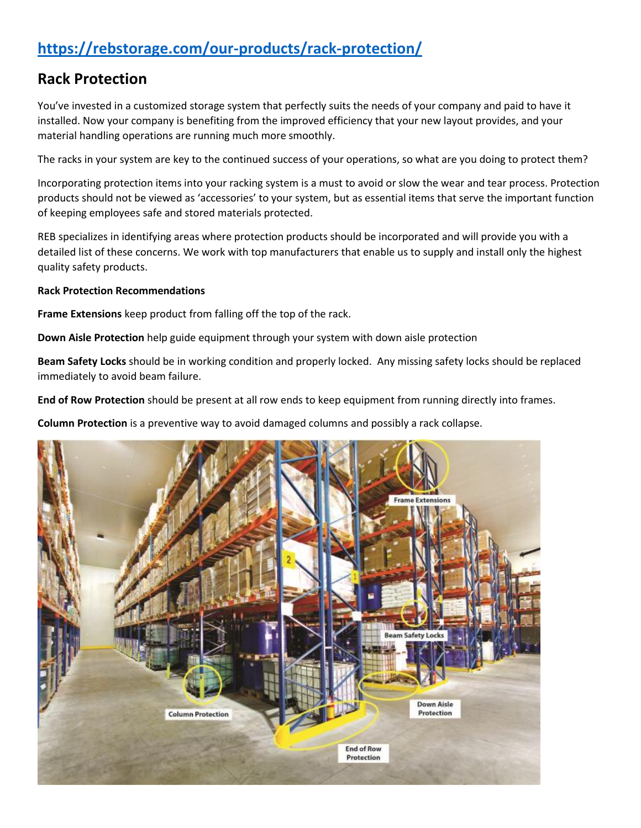# **<https://rebstorage.com/our-products/rack-protection/>**

## **Rack Protection**

You've invested in a customized storage system that perfectly suits the needs of your company and paid to have it installed. Now your company is benefiting from the improved efficiency that your new layout provides, and your material handling operations are running much more smoothly.

The racks in your system are key to the continued success of your operations, so what are you doing to protect them?

Incorporating protection items into your racking system is a must to avoid or slow the wear and tear process. Protection products should not be viewed as 'accessories' to your system, but as essential items that serve the important function of keeping employees safe and stored materials protected.

REB specializes in identifying areas where protection products should be incorporated and will provide you with a detailed list of these concerns. We work with top manufacturers that enable us to supply and install only the highest quality safety products.

### **Rack Protection Recommendations**

**Frame Extensions** keep product from falling off the top of the rack.

**Down Aisle Protection** help guide equipment through your system with down aisle protection

**Beam Safety Locks** should be in working condition and properly locked. Any missing safety locks should be replaced immediately to avoid beam failure.

**End of Row Protection** should be present at all row ends to keep equipment from running directly into frames.

**Column Protection** is a preventive way to avoid damaged columns and possibly a rack collapse.